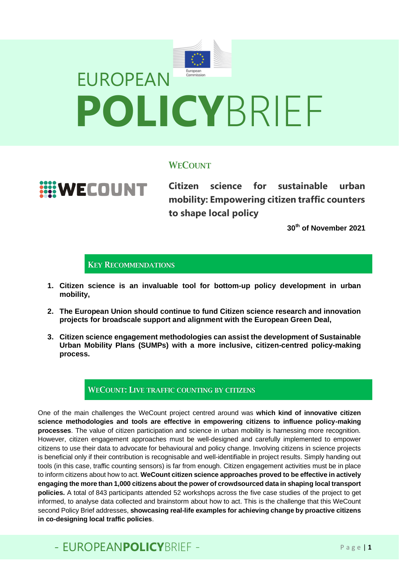

## **WECOUNT**

**WECOUNT** 

**Citizen science for sustainable urban mobility: Empowering citizen traffic counters to shape local policy**

**30th of November 2021**

## KEY RECOMMENDATIONS

- **1. Citizen science is an invaluable tool for bottom-up policy development in urban mobility,**
- **2. The European Union should continue to fund Citizen science research and innovation projects for broadscale support and alignment with the European Green Deal,**
- **3. Citizen science engagement methodologies can assist the development of Sustainable Urban Mobility Plans (SUMPs) with a more inclusive, citizen-centred policy-making process.**

### WECOUNT: LIVE TRAFFIC COUNTING BY CITIZENS

One of the main challenges the WeCount project centred around was **which kind of innovative citizen science methodologies and tools are effective in empowering citizens to influence policy-making processes**. The value of citizen participation and science in urban mobility is harnessing more recognition. However, citizen engagement approaches must be well-designed and carefully implemented to empower citizens to use their data to advocate for behavioural and policy change. Involving citizens in science projects is beneficial only if their contribution is recognisable and well-identifiable in project results. Simply handing out tools (in this case, traffic counting sensors) is far from enough. Citizen engagement activities must be in place to inform citizens about how to act. **WeCount citizen science approaches proved to be effective in actively engaging the more than 1,000 citizens about the power of crowdsourced data in shaping local transport policies.** A total of 843 participants attended 52 workshops across the five case studies of the project to get informed, to analyse data collected and brainstorm about how to act. This is the challenge that this WeCount second Policy Brief addresses, **showcasing real-life examples for achieving change by proactive citizens in co-designing local traffic policies**.

# - FUROPFANPOLICYBRIFF - Page 11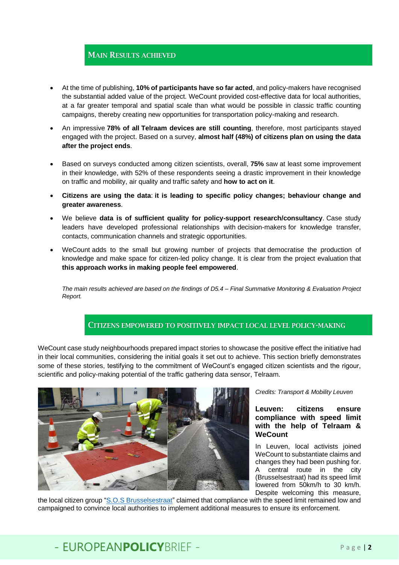## MAIN RESULTS ACHIEVED

- At the time of publishing, **10% of participants have so far acted**, and policy-makers have recognised the substantial added value of the project. WeCount provided cost-effective data for local authorities, at a far greater temporal and spatial scale than what would be possible in classic traffic counting campaigns, thereby creating new opportunities for transportation policy-making and research.
- An impressive **78% of all Telraam devices are still counting**, therefore, most participants stayed engaged with the project. Based on a survey, **almost half (48%) of citizens plan on using the data after the project ends**.
- Based on surveys conducted among citizen scientists, overall, **75%** saw at least some improvement in their knowledge, with 52% of these respondents seeing a drastic improvement in their knowledge on traffic and mobility, air quality and traffic safety and **how to act on it**.
- **Citizens are using the data**: **it is leading to specific policy changes; behaviour change and greater awareness**.
- We believe **data is of sufficient quality for policy-support research/consultancy**. Case study leaders have developed professional relationships with decision-makers for knowledge transfer, contacts, communication channels and strategic opportunities.
- WeCount adds to the small but growing number of projects that democratise the production of knowledge and make space for citizen-led policy change. It is clear from the project evaluation that **this approach works in making people feel empowered**.

*The main results achieved are based on the findings of D5.4 – Final Summative Monitoring & Evaluation Project Report.* 

### CITIZENS EMPOWERED TO POSITIVELY IMPACT LOCAL LEVEL POLICY-MAKING

WeCount case study neighbourhoods prepared impact stories to showcase the positive effect the initiative had in their local communities, considering the initial goals it set out to achieve. This section briefly demonstrates some of these stories, testifying to the commitment of WeCount's engaged citizen scientists and the rigour, scientific and policy-making potential of the traffic gathering data sensor, Telraam.



#### *Credits: Transport & Mobility Leuven*

#### **Leuven: citizens ensure compliance with speed limit with the help of Telraam & WeCount**

In Leuven, local activists joined WeCount to substantiate claims and changes they had been pushing for. A central route in the city (Brusselsestraat) had its speed limit lowered from 50km/h to 30 km/h. Despite welcoming this measure,

the local citizen group ["S.O.S Brusselsestraat"](https://www.facebook.com/groups/2042611219294148) claimed that compliance with the speed limit remained low and campaigned to convince local authorities to implement additional measures to ensure its enforcement.

## - FUROPFANPOLICYBRIFF - Page 12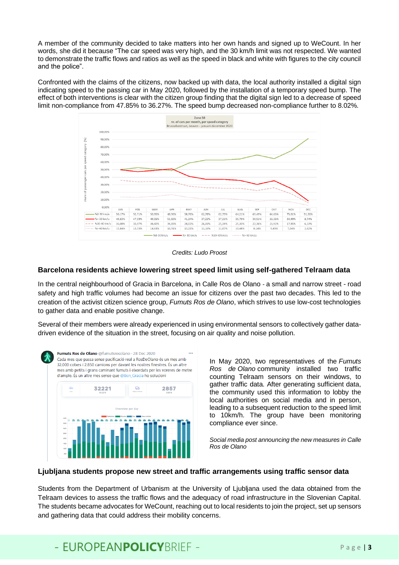A member of the community decided to take matters into her own hands and signed up to WeCount. In her words, she did it because "The car speed was very high, and the 30 km/h limit was not respected. We wanted to demonstrate the traffic flows and ratios as well as the speed in black and white with figures to the city council and the police".

Confronted with the claims of the citizens, now backed up with data, the local authority installed a digital sign indicating speed to the passing car in May 2020, followed by the installation of a temporary speed bump. The effect of both interventions is clear with the citizen group finding that the digital sign led to a decrease of speed limit non-compliance from 47.85% to 36.27%. The speed bump decreased non-compliance further to 8.02%.



*Credits: Ludo Proost*

#### **Barcelona residents achieve lowering street speed limit using self-gathered Telraam data**

In the central neighbourhood of Gracia in Barcelona, in Calle Ros de Olano *-* a small and narrow street - road safety and high traffic volumes had become an issue for citizens over the past two decades. This led to the creation of the activist citizen science group, *Fumuts Ros de Olano*, which strives to use low-cost technologies to gather data and enable positive change.

Several of their members were already experienced in using environmental sensors to collectively gather datadriven evidence of the situation in the street, focusing on air quality and noise pollution.



In May 2020, two representatives of the *Fumuts Ros de Olano* community installed two traffic counting Telraam sensors on their windows, to gather traffic data. After generating sufficient data, the community used this information to lobby the local authorities on social media and in person, leading to a subsequent reduction to the speed limit to 10km/h. The group have been monitoring compliance ever since.

*Social media post announcing the new measures in Calle Ros de Olano* 

#### **Ljubljana students propose new street and traffic arrangements using traffic sensor data**

Students from the Department of Urbanism at the University of Ljubljana used the data obtained from the Telraam devices to assess the traffic flows and the adequacy of road infrastructure in the Slovenian Capital. The students became advocates for WeCount, reaching out to local residents to join the project, set up sensors and gathering data that could address their mobility concerns.

## - EUROPEANPOLICYBRIFF - Page 13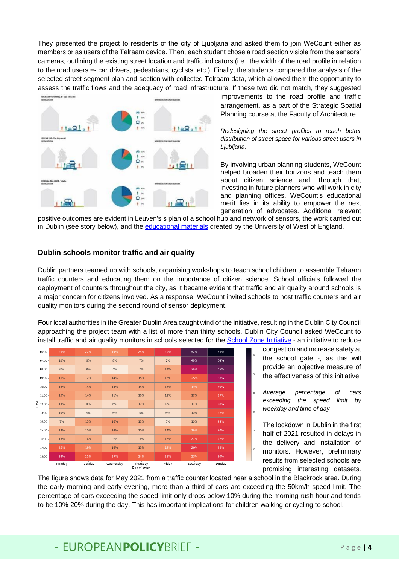They presented the project to residents of the city of Ljubljana and asked them to join WeCount either as members or as users of the Telraam device. Then, each student chose a road section visible from the sensors' cameras, outlining the existing street location and traffic indicators (i.e., the width of the road profile in relation to the road users =- car drivers, pedestrians, cyclists, etc.). Finally, the students compared the analysis of the selected street segment plan and section with collected Telraam data, which allowed them the opportunity to assess the traffic flows and the adequacy of road infrastructure. If these two did not match, they suggested



improvements to the road profile and traffic arrangement, as a part of the Strategic Spatial Planning course at the Faculty of Architecture.

*Redesigning the street profiles to reach better distribution of street space for various street users in Ljubljana.*

By involving urban planning students, WeCount helped broaden their horizons and teach them about citizen science and, through that, investing in future planners who will work in city and planning offices. WeCount's educational merit lies in its ability to empower the next generation of advocates. Additional relevant

positive outcomes are evident in Leuven's s plan of a school hub and network of sensors, the work carried out in Dublin (see story below), and the [educational](https://we-count.net/news/empowering-pupils-with-data-for-sustainable-school-streets) materials created by the University of West of England.

#### **Dublin schools monitor traffic and air quality**

Dublin partners teamed up with schools, organising workshops to teach school children to assemble Telraam traffic counters and educating them on the importance of citizen science. School officials followed the deployment of counters throughout the city, as it became evident that traffic and air quality around schools is a major concern for citizens involved. As a response, WeCount invited schools to host traffic counters and air quality monitors during the second round of sensor deployment.

Four local authorities in the Greater Dublin Area caught wind of the initiative, resulting in the Dublin City Council approaching the project team with a list of more than thirty schools. Dublin City Council asked WeCount to install traffic and air quality monitors in schools selected for the [School Zone Initiative](https://greenschoolsireland.org/dublins-first-school-zone-is-launched-at-francis-street-cbs/) - an initiative to reduce



congestion and increase safety at the school gate -, as this will provide an objective measure of the effectiveness of this initiative.

*Average percentage of cars exceeding the speed limit by weekday and time of day*

The lockdown in Dublin in the first half of 2021 resulted in delays in the delivery and installation of monitors. However, preliminary results from selected schools are promising interesting datasets.

The figure shows data for May 2021 from a traffic counter located near a school in the Blackrock area. During the early morning and early evening, more than a third of cars are exceeding the 50km/h speed limit. The percentage of cars exceeding the speed limit only drops below 10% during the morning rush hour and tends to be 10%-20% during the day. This has important implications for children walking or cycling to school.

## - EUROPEANPOLICYBRIFF - Page 14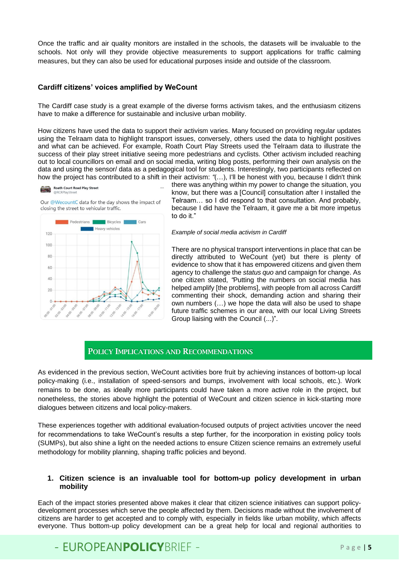Once the traffic and air quality monitors are installed in the schools, the datasets will be invaluable to the schools. Not only will they provide objective measurements to support applications for traffic calming measures, but they can also be used for educational purposes inside and outside of the classroom.

#### **Cardiff citizens' voices amplified by WeCount**

The Cardiff case study is a great example of the diverse forms activism takes, and the enthusiasm citizens have to make a difference for sustainable and inclusive urban mobility.

How citizens have used the data to support their activism varies. Many focused on providing regular updates using the Telraam data to highlight transport issues, conversely, others used the data to highlight positives and what can be achieved. For example, Roath Court Play Streets used the Telraam data to illustrate the success of their play street initiative seeing more pedestrians and cyclists. Other activism included reaching out to local councillors on email and on social media, writing blog posts, performing their own analysis on the data and using the sensor/ data as a pedagogical tool for students. Interestingly, two participants reflected on how the project has contributed to a shift in their activism: *"*(…), I'll be honest with you, because I didn't think





Our @WecountC data for the day shows the impact of closing the street to vehicular traffic.



there was anything within my power to change the situation, you know, but there was a [Council] consultation after I installed the Telraam… so I did respond to that consultation. And probably, because I did have the Telraam, it gave me a bit more impetus to do it."

#### *Example of social media activism in Cardiff*

There are no physical transport interventions in place that can be directly attributed to WeCount (yet) but there is plenty of evidence to show that it has empowered citizens and given them agency to challenge the *status quo* and campaign for change. As one citizen stated, *"*Putting the numbers on social media has helped amplify [the problems], with people from all across Cardiff commenting their shock, demanding action and sharing their own numbers (…) we hope the data will also be used to shape future traffic schemes in our area, with our local Living Streets Group liaising with the Council (...)".

#### POLICY IMPLICATIONS AND RECOMMENDATIONS

As evidenced in the previous section, WeCount activities bore fruit by achieving instances of bottom-up local policy-making (i.e., installation of speed-sensors and bumps, involvement with local schools, etc.). Work remains to be done, as ideally more participants could have taken a more active role in the project, but nonetheless, the stories above highlight the potential of WeCount and citizen science in kick-starting more dialogues between citizens and local policy-makers.

These experiences together with additional evaluation-focused outputs of project activities uncover the need for recommendations to take WeCount's results a step further, for the incorporation in existing policy tools (SUMPs), but also shine a light on the needed actions to ensure Citizen science remains an extremely useful methodology for mobility planning, shaping traffic policies and beyond.

#### **1. Citizen science is an invaluable tool for bottom-up policy development in urban mobility**

Each of the impact stories presented above makes it clear that citizen science initiatives can support policydevelopment processes which serve the people affected by them. Decisions made without the involvement of citizens are harder to get accepted and to comply with, especially in fields like urban mobility, which affects everyone. Thus bottom-up policy development can be a great help for local and regional authorities to

# - FUROPFANPOLICYBRIFF - Page 15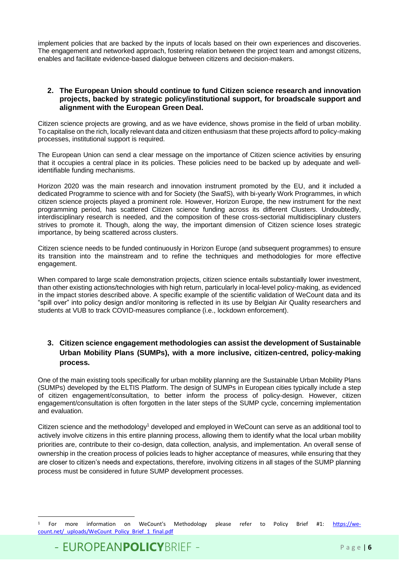implement policies that are backed by the inputs of locals based on their own experiences and discoveries. The engagement and networked approach, fostering relation between the project team and amongst citizens, enables and facilitate evidence-based dialogue between citizens and decision-makers.

#### **2. The European Union should continue to fund Citizen science research and innovation projects, backed by strategic policy/institutional support, for broadscale support and alignment with the European Green Deal.**

Citizen science projects are growing, and as we have evidence, shows promise in the field of urban mobility. To capitalise on the rich, locally relevant data and citizen enthusiasm that these projects afford to policy-making processes, institutional support is required.

The European Union can send a clear message on the importance of Citizen science activities by ensuring that it occupies a central place in its policies. These policies need to be backed up by adequate and wellidentifiable funding mechanisms.

Horizon 2020 was the main research and innovation instrument promoted by the EU, and it included a dedicated Programme to science with and for Society (the SwafS), with bi-yearly Work Programmes, in which citizen science projects played a prominent role. However, Horizon Europe, the new instrument for the next programming period, has scattered Citizen science funding across its different Clusters. Undoubtedly, interdisciplinary research is needed, and the composition of these cross-sectorial multidisciplinary clusters strives to promote it. Though, along the way, the important dimension of Citizen science loses strategic importance, by being scattered across clusters.

Citizen science needs to be funded continuously in Horizon Europe (and subsequent programmes) to ensure its transition into the mainstream and to refine the techniques and methodologies for more effective engagement.

When compared to large scale demonstration projects, citizen science entails substantially lower investment, than other existing actions/technologies with high return, particularly in local-level policy-making, as evidenced in the impact stories described above. A specific example of the scientific validation of WeCount data and its "spill over" into policy design and/or monitoring is reflected in its use by Belgian Air Quality researchers and students at VUB to track COVID-measures compliance (i.e., lockdown enforcement).

### **3. Citizen science engagement methodologies can assist the development of Sustainable Urban Mobility Plans (SUMPs), with a more inclusive, citizen-centred, policy-making process.**

One of the main existing tools specifically for urban mobility planning are the Sustainable Urban Mobility Plans (SUMPs) developed by the ELTIS Platform. The design of SUMPs in European cities typically include a step of citizen engagement/consultation, to better inform the process of policy-design. However, citizen engagement/consultation is often forgotten in the later steps of the SUMP cycle, concerning implementation and evaluation.

Citizen science and the methodology<sup>1</sup> developed and employed in WeCount can serve as an additional tool to actively involve citizens in this entire planning process, allowing them to identify what the local urban mobility priorities are, contribute to their co-design, data collection, analysis, and implementation. An overall sense of ownership in the creation process of policies leads to higher acceptance of measures, while ensuring that they are closer to citizen's needs and expectations, therefore, involving citizens in all stages of the SUMP planning process must be considered in future SUMP development processes.

<sup>1</sup> For more information on WeCount's Methodology please refer to Policy Brief #1: [https://we](https://we-count.net/_uploads/WeCount_Policy_Brief_1_final.pdf)[count.net/\\_uploads/WeCount\\_Policy\\_Brief\\_1\\_final.pdf](https://we-count.net/_uploads/WeCount_Policy_Brief_1_final.pdf)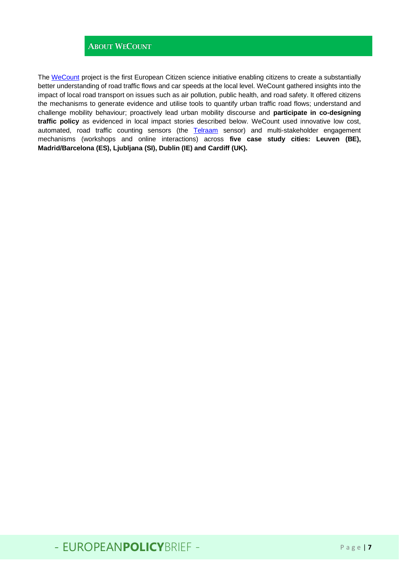## ABOUT WECOUNT

The [WeCount](https://we-count.net/) project is the first European Citizen science initiative enabling citizens to create a substantially better understanding of road traffic flows and car speeds at the local level. WeCount gathered insights into the impact of local road transport on issues such as air pollution, public health, and road safety. It offered citizens the mechanisms to generate evidence and utilise tools to quantify urban traffic road flows; understand and challenge mobility behaviour; proactively lead urban mobility discourse and **participate in co-designing traffic policy** as evidenced in local impact stories described below. WeCount used innovative low cost, automated, road traffic counting sensors (the [Telraam](https://telraam.net/en) sensor) and multi-stakeholder engagement mechanisms (workshops and online interactions) across **five case study cities: Leuven (BE), Madrid/Barcelona (ES), Ljubljana (SI), Dublin (IE) and Cardiff (UK).**